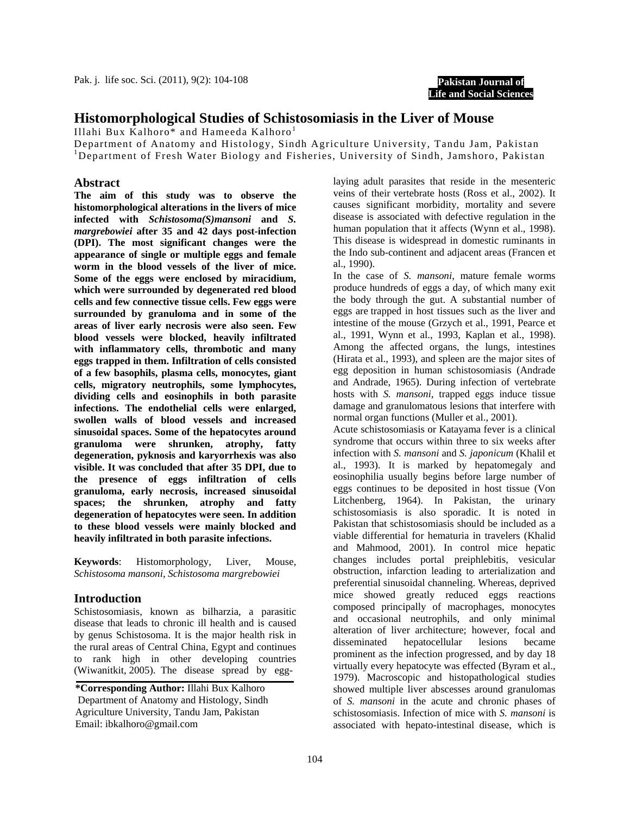**Pakistan Journal of Life and Social Sciences**

# **Histomorphological Studies of Schistosomiasis in the Liver of Mouse**

Illahi Bux Kalhoro\* and Hameeda Kalhoro<sup>1</sup>

Department of Anatomy and Histology, Sindh Agriculture University, Tandu Jam, Pakistan <sup>1</sup>Department of Fresh Water Biology and Fisheries, University of Sindh, Jamshoro, Pakistan

## **Abstract**

**The aim of this study was to observe the histomorphological alterations in the livers of mice infected with** *Schistosoma(S)mansoni* **and** *S. margrebowiei* **after 35 and 42 days post-infection (DPI). The most significant changes were the appearance of single or multiple eggs and female worm in the blood vessels of the liver of mice. Some of the eggs were enclosed by miracidium, which were surrounded by degenerated red blood cells and few connective tissue cells. Few eggs were surrounded by granuloma and in some of the areas of liver early necrosis were also seen. Few blood vessels were blocked, heavily infiltrated with inflammatory cells, thrombotic and many eggs trapped in them. Infiltration of cells consisted of a few basophils, plasma cells, monocytes, giant cells, migratory neutrophils, some lymphocytes, dividing cells and eosinophils in both parasite infections. The endothelial cells were enlarged, swollen walls of blood vessels and increased sinusoidal spaces. Some of the hepatocytes around granuloma were shrunken, atrophy, fatty degeneration, pyknosis and karyorrhexis was also visible. It was concluded that after 35 DPI, due to the presence of eggs infiltration of cells granuloma, early necrosis, increased sinusoidal spaces; the shrunken, atrophy and fatty degeneration of hepatocytes were seen. In addition to these blood vessels were mainly blocked and heavily infiltrated in both parasite infections.** 

**Keywords**: Histomorphology, Liver, Mouse, *Schistosoma mansoni*, *Schistosoma margrebowiei*

## **Introduction**

Schistosomiasis, known as bilharzia, a parasitic disease that leads to chronic ill health and is caused by genus Schistosoma. It is the major health risk in the rural areas of Central China, Egypt and continues to rank high in other developing countries (Wiwanitkit, 2005). The disease spread by egg-

**\*Corresponding Author:** Illahi Bux Kalhoro Department of Anatomy and Histology, Sindh Agriculture University, Tandu Jam, Pakistan Email: ibkalhoro@gmail.com

laying adult parasites that reside in the mesenteric veins of their vertebrate hosts (Ross et al., 2002). It causes significant morbidity, mortality and severe disease is associated with defective regulation in the human population that it affects (Wynn et al., 1998). This disease is widespread in domestic ruminants in the Indo sub-continent and adjacent areas (Francen et al., 1990).

In the case of *S. mansoni*, mature female worms produce hundreds of eggs a day, of which many exit the body through the gut. A substantial number of eggs are trapped in host tissues such as the liver and intestine of the mouse (Grzych et al., 1991, Pearce et al., 1991, Wynn et al., 1993, Kaplan et al., 1998). Among the affected organs, the lungs, intestines (Hirata et al., 1993), and spleen are the major sites of egg deposition in human schistosomiasis (Andrade and Andrade, 1965). During infection of vertebrate hosts with *S. mansoni*, trapped eggs induce tissue damage and granulomatous lesions that interfere with normal organ functions (Muller et al., 2001).

Acute schistosomiasis or Katayama fever is a clinical syndrome that occurs within three to six weeks after infection with *S. mansoni* and *S. japonicum* (Khalil et al., 1993). It is marked by hepatomegaly and eosinophilia usually begins before large number of eggs continues to be deposited in host tissue (Von Litchenberg, 1964). In Pakistan, the urinary schistosomiasis is also sporadic. It is noted in Pakistan that schistosomiasis should be included as a viable differential for hematuria in travelers (Khalid and Mahmood, 2001). In control mice hepatic changes includes portal preiphlebitis, vesicular obstruction, infarction leading to arterialization and preferential sinusoidal channeling. Whereas, deprived mice showed greatly reduced eggs reactions composed principally of macrophages, monocytes and occasional neutrophils, and only minimal alteration of liver architecture; however, focal and disseminated hepatocellular lesions became prominent as the infection progressed, and by day 18 virtually every hepatocyte was effected (Byram et al., 1979). Macroscopic and histopathological studies showed multiple liver abscesses around granulomas of *S. mansoni* in the acute and chronic phases of schistosomiasis. Infection of mice with *S. mansoni* is associated with hepato-intestinal disease, which is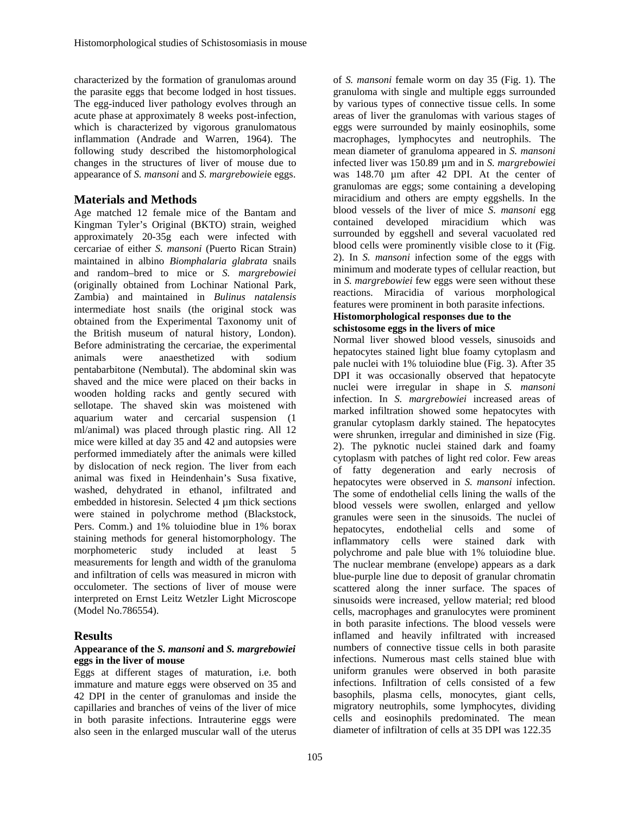characterized by the formation of granulomas around the parasite eggs that become lodged in host tissues. The egg-induced liver pathology evolves through an acute phase at approximately 8 weeks post-infection, which is characterized by vigorous granulomatous inflammation (Andrade and Warren, 1964). The following study described the histomorphological changes in the structures of liver of mouse due to appearance of *S. mansoni* and *S. margrebowiei*e eggs.

## **Materials and Methods**

Age matched 12 female mice of the Bantam and Kingman Tyler's Original (BKTO) strain, weighed approximately 20-35g each were infected with cercariae of either *S. mansoni* (Puerto Rican Strain) maintained in albino *Biomphalaria glabrata* snails and random–bred to mice or *S. margrebowiei* (originally obtained from Lochinar National Park, Zambia) and maintained in *Bulinus natalensis* intermediate host snails (the original stock was obtained from the Experimental Taxonomy unit of the British museum of natural history, London). Before administrating the cercariae, the experimental animals were anaesthetized with sodium pentabarbitone (Nembutal). The abdominal skin was shaved and the mice were placed on their backs in wooden holding racks and gently secured with sellotape. The shaved skin was moistened with aquarium water and cercarial suspension (1 ml/animal) was placed through plastic ring. All 12 mice were killed at day 35 and 42 and autopsies were performed immediately after the animals were killed by dislocation of neck region. The liver from each animal was fixed in Heindenhain's Susa fixative, washed, dehydrated in ethanol, infiltrated and embedded in historesin. Selected 4 µm thick sections were stained in polychrome method (Blackstock, Pers. Comm.) and 1% toluiodine blue in 1% borax staining methods for general histomorphology. The morphometeric study included at least 5 measurements for length and width of the granuloma and infiltration of cells was measured in micron with occulometer. The sections of liver of mouse were interpreted on Ernst Leitz Wetzler Light Microscope (Model No.786554).

## **Results**

#### **Appearance of the** *S. mansoni* **and** *S. margrebowiei* **eggs in the liver of mouse**

Eggs at different stages of maturation, i.e. both immature and mature eggs were observed on 35 and 42 DPI in the center of granulomas and inside the capillaries and branches of veins of the liver of mice in both parasite infections. Intrauterine eggs were also seen in the enlarged muscular wall of the uterus

of *S. mansoni* female worm on day 35 (Fig. 1). The granuloma with single and multiple eggs surrounded by various types of connective tissue cells. In some areas of liver the granulomas with various stages of eggs were surrounded by mainly eosinophils, some macrophages, lymphocytes and neutrophils. The mean diameter of granuloma appeared in *S. mansoni* infected liver was 150.89 µm and in *S. margrebowiei* was 148.70 µm after 42 DPI. At the center of granulomas are eggs; some containing a developing miracidium and others are empty eggshells. In the blood vessels of the liver of mice *S. mansoni* egg contained developed miracidium which was surrounded by eggshell and several vacuolated red blood cells were prominently visible close to it (Fig. 2). In *S. mansoni* infection some of the eggs with minimum and moderate types of cellular reaction, but in *S. margrebowiei* few eggs were seen without these reactions. Miracidia of various morphological features were prominent in both parasite infections. **Histomorphological responses due to the** 

# **schistosome eggs in the livers of mice**

Normal liver showed blood vessels, sinusoids and hepatocytes stained light blue foamy cytoplasm and pale nuclei with 1% toluiodine blue (Fig. 3). After 35 DPI it was occasionally observed that hepatocyte nuclei were irregular in shape in *S. mansoni* infection. In *S. margrebowiei* increased areas of marked infiltration showed some hepatocytes with granular cytoplasm darkly stained. The hepatocytes were shrunken, irregular and diminished in size (Fig. 2). The pyknotic nuclei stained dark and foamy cytoplasm with patches of light red color. Few areas of fatty degeneration and early necrosis of hepatocytes were observed in *S. mansoni* infection. The some of endothelial cells lining the walls of the blood vessels were swollen, enlarged and yellow granules were seen in the sinusoids. The nuclei of hepatocytes, endothelial cells and some of inflammatory cells were stained dark with polychrome and pale blue with 1% toluiodine blue. The nuclear membrane (envelope) appears as a dark blue-purple line due to deposit of granular chromatin scattered along the inner surface. The spaces of sinusoids were increased, yellow material; red blood cells, macrophages and granulocytes were prominent in both parasite infections. The blood vessels were inflamed and heavily infiltrated with increased numbers of connective tissue cells in both parasite infections. Numerous mast cells stained blue with uniform granules were observed in both parasite infections. Infiltration of cells consisted of a few basophils, plasma cells, monocytes, giant cells, migratory neutrophils, some lymphocytes, dividing cells and eosinophils predominated. The mean diameter of infiltration of cells at 35 DPI was 122.35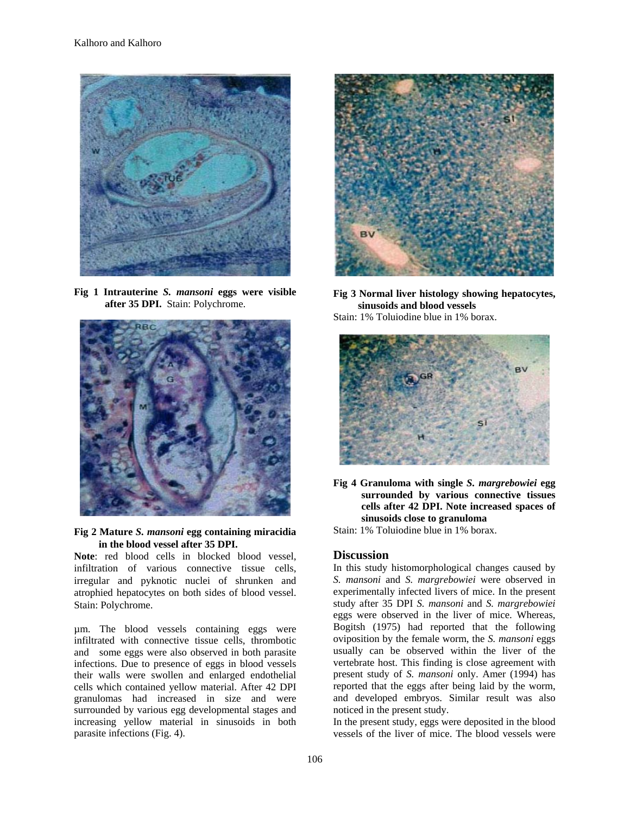

**Fig 1 Intrauterine** *S. mansoni* **eggs were visible after 35 DPI.** Stain: Polychrome.





**Note**: red blood cells in blocked blood vessel, infiltration of various connective tissue cells, irregular and pyknotic nuclei of shrunken and atrophied hepatocytes on both sides of blood vessel. Stain: Polychrome.

µm. The blood vessels containing eggs were infiltrated with connective tissue cells, thrombotic and some eggs were also observed in both parasite infections. Due to presence of eggs in blood vessels their walls were swollen and enlarged endothelial cells which contained yellow material. After 42 DPI granulomas had increased in size and were surrounded by various egg developmental stages and increasing yellow material in sinusoids in both parasite infections (Fig. 4).



**Fig 3 Normal liver histology showing hepatocytes, sinusoids and blood vessels**

Stain: 1% Toluiodine blue in 1% borax.



**Fig 4 Granuloma with single** *S. margrebowiei* **egg surrounded by various connective tissues cells after 42 DPI. Note increased spaces of sinusoids close to granuloma** 

Stain: 1% Toluiodine blue in 1% borax.

#### **Discussion**

In this study histomorphological changes caused by *S. mansoni* and *S. margrebowiei* were observed in experimentally infected livers of mice. In the present study after 35 DPI *S. mansoni* and *S. margrebowiei* eggs were observed in the liver of mice. Whereas, Bogitsh (1975) had reported that the following oviposition by the female worm, the *S. mansoni* eggs usually can be observed within the liver of the vertebrate host. This finding is close agreement with present study of *S. mansoni* only. Amer (1994) has reported that the eggs after being laid by the worm, and developed embryos. Similar result was also noticed in the present study.

In the present study, eggs were deposited in the blood vessels of the liver of mice. The blood vessels were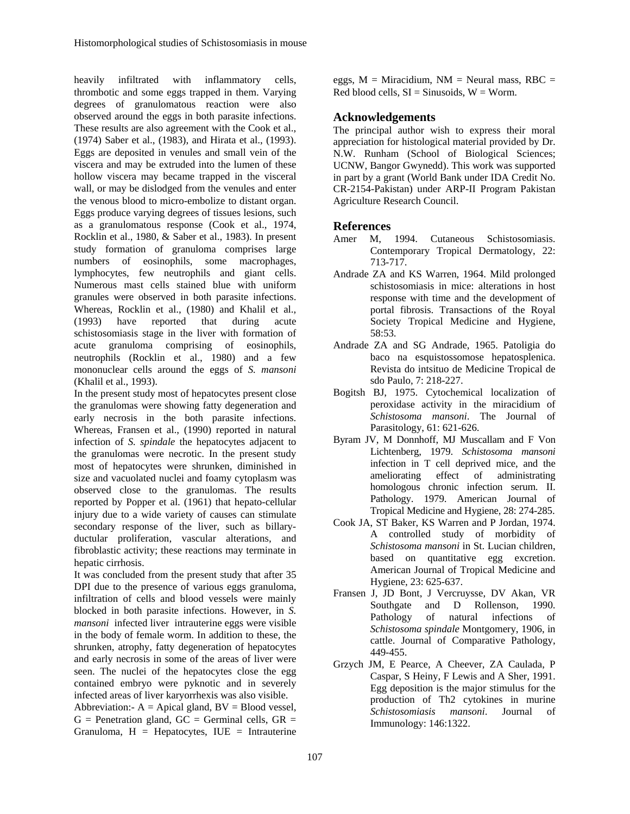heavily infiltrated with inflammatory cells, thrombotic and some eggs trapped in them. Varying degrees of granulomatous reaction were also observed around the eggs in both parasite infections. These results are also agreement with the Cook et al., (1974) Saber et al., (1983), and Hirata et al., (1993). Eggs are deposited in venules and small vein of the viscera and may be extruded into the lumen of these hollow viscera may became trapped in the visceral wall, or may be dislodged from the venules and enter the venous blood to micro-embolize to distant organ. Eggs produce varying degrees of tissues lesions, such as a granulomatous response (Cook et al., 1974, Rocklin et al., 1980, & Saber et al., 1983). In present study formation of granuloma comprises large numbers of eosinophils, some macrophages, lymphocytes, few neutrophils and giant cells. Numerous mast cells stained blue with uniform granules were observed in both parasite infections. Whereas, Rocklin et al., (1980) and Khalil et al., (1993) have reported that during acute schistosomiasis stage in the liver with formation of acute granuloma comprising of eosinophils, neutrophils (Rocklin et al., 1980) and a few mononuclear cells around the eggs of *S. mansoni* (Khalil et al., 1993).

In the present study most of hepatocytes present close the granulomas were showing fatty degeneration and early necrosis in the both parasite infections. Whereas, Fransen et al., (1990) reported in natural infection of *S. spindale* the hepatocytes adjacent to the granulomas were necrotic. In the present study most of hepatocytes were shrunken, diminished in size and vacuolated nuclei and foamy cytoplasm was observed close to the granulomas. The results reported by Popper et al. (1961) that hepato-cellular injury due to a wide variety of causes can stimulate secondary response of the liver, such as billaryductular proliferation, vascular alterations, and fibroblastic activity; these reactions may terminate in hepatic cirrhosis.

It was concluded from the present study that after 35 DPI due to the presence of various eggs granuloma, infiltration of cells and blood vessels were mainly blocked in both parasite infections. However, in *S. mansoni* infected liver intrauterine eggs were visible in the body of female worm. In addition to these, the shrunken, atrophy, fatty degeneration of hepatocytes and early necrosis in some of the areas of liver were seen. The nuclei of the hepatocytes close the egg contained embryo were pyknotic and in severely infected areas of liver karyorrhexis was also visible.

Abbreviation:-  $A =$  Apical gland,  $BV =$  Blood vessel,  $G =$  Penetration gland,  $GC =$  Germinal cells,  $GR =$ Granuloma,  $H =$  Hepatocytes, IUE = Intrauterine

eggs,  $M =$  Miracidium,  $NM =$  Neural mass, RBC = Red blood cells,  $SI = Sinusoids$ ,  $W = Worm$ .

## **Acknowledgements**

The principal author wish to express their moral appreciation for histological material provided by Dr. N.W. Runham (School of Biological Sciences; UCNW, Bangor Gwynedd). This work was supported in part by a grant (World Bank under IDA Credit No. CR-2154-Pakistan) under ARP-II Program Pakistan Agriculture Research Council.

## **References**

- Amer M, 1994. Cutaneous Schistosomiasis. Contemporary Tropical Dermatology, 22: 713-717.
- Andrade ZA and KS Warren, 1964. Mild prolonged schistosomiasis in mice: alterations in host response with time and the development of portal fibrosis. Transactions of the Royal Society Tropical Medicine and Hygiene, 58:53.
- Andrade ZA and SG Andrade, 1965. Patoligia do baco na esquistossomose hepatosplenica. Revista do intsituo de Medicine Tropical de sdo Paulo, 7: 218-227.
- Bogitsh BJ, 1975. Cytochemical localization of peroxidase activity in the miracidium of *Schistosoma mansoni*. The Journal of Parasitology, 61: 621-626.
- Byram JV, M Donnhoff, MJ Muscallam and F Von Lichtenberg, 1979. *Schistosoma mansoni* infection in T cell deprived mice, and the ameliorating effect of administrating homologous chronic infection serum. II. Pathology. 1979. American Journal of Tropical Medicine and Hygiene, 28: 274-285.
- Cook JA, ST Baker, KS Warren and P Jordan, 1974. A controlled study of morbidity of *Schistosoma mansoni* in St. Lucian children, based on quantitative egg excretion. American Journal of Tropical Medicine and Hygiene, 23: 625-637.
- Fransen J, JD Bont, J Vercruysse, DV Akan, VR Southgate and D Rollenson, 1990. Pathology of natural infections of *Schistosoma spindale* Montgomery, 1906, in cattle. Journal of Comparative Pathology, 449-455.
- Grzych JM, E Pearce, A Cheever, ZA Caulada, P Caspar, S Heiny, F Lewis and A Sher, 1991. Egg deposition is the major stimulus for the production of Th2 cytokines in murine *Schistosomiasis mansoni*. Journal of Immunology: 146:1322.